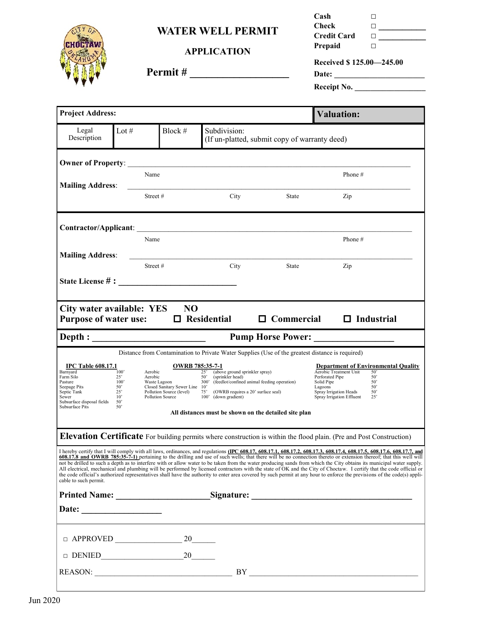**WATER WELL PERMIT**



## **APPLICATION**

| Check                               |        |  |  |  |  |  |
|-------------------------------------|--------|--|--|--|--|--|
| <b>Credit Card</b>                  | $\Box$ |  |  |  |  |  |
| Prepaid                             | H      |  |  |  |  |  |
| Received \$125.00 - 245.00<br>Date: |        |  |  |  |  |  |

**Permit # \_\_\_\_\_\_\_\_\_\_\_\_\_\_\_\_\_\_**

| Receipt No. |  |
|-------------|--|
|             |  |

**Cash □**

|                                                                                                  | <b>Project Address:</b>                 |                                                                                       |                                                                                                                                                                                                                                                                |                                               | <b>Valuation:</b>                                                                                                                                                                                                                                                                                                                                                                                                                                                                                                                                                                                                                                                                                                                                                                                                                                                       |  |
|--------------------------------------------------------------------------------------------------|-----------------------------------------|---------------------------------------------------------------------------------------|----------------------------------------------------------------------------------------------------------------------------------------------------------------------------------------------------------------------------------------------------------------|-----------------------------------------------|-------------------------------------------------------------------------------------------------------------------------------------------------------------------------------------------------------------------------------------------------------------------------------------------------------------------------------------------------------------------------------------------------------------------------------------------------------------------------------------------------------------------------------------------------------------------------------------------------------------------------------------------------------------------------------------------------------------------------------------------------------------------------------------------------------------------------------------------------------------------------|--|
| Legal<br>Description                                                                             | Lot #                                   | Block #                                                                               | Subdivision:                                                                                                                                                                                                                                                   | (If un-platted, submit copy of warranty deed) |                                                                                                                                                                                                                                                                                                                                                                                                                                                                                                                                                                                                                                                                                                                                                                                                                                                                         |  |
| <b>Owner of Property:</b>                                                                        |                                         |                                                                                       |                                                                                                                                                                                                                                                                |                                               |                                                                                                                                                                                                                                                                                                                                                                                                                                                                                                                                                                                                                                                                                                                                                                                                                                                                         |  |
|                                                                                                  | Name                                    |                                                                                       |                                                                                                                                                                                                                                                                |                                               | Phone#                                                                                                                                                                                                                                                                                                                                                                                                                                                                                                                                                                                                                                                                                                                                                                                                                                                                  |  |
| <b>Mailing Address:</b>                                                                          |                                         | Street#                                                                               | City                                                                                                                                                                                                                                                           | State                                         | Zip                                                                                                                                                                                                                                                                                                                                                                                                                                                                                                                                                                                                                                                                                                                                                                                                                                                                     |  |
|                                                                                                  |                                         |                                                                                       | Contractor/Applicant:                                                                                                                                                                                                                                          |                                               |                                                                                                                                                                                                                                                                                                                                                                                                                                                                                                                                                                                                                                                                                                                                                                                                                                                                         |  |
|                                                                                                  | Name                                    |                                                                                       |                                                                                                                                                                                                                                                                |                                               | Phone#                                                                                                                                                                                                                                                                                                                                                                                                                                                                                                                                                                                                                                                                                                                                                                                                                                                                  |  |
| <b>Mailing Address:</b>                                                                          |                                         | Street#                                                                               | City                                                                                                                                                                                                                                                           | State                                         | Zip                                                                                                                                                                                                                                                                                                                                                                                                                                                                                                                                                                                                                                                                                                                                                                                                                                                                     |  |
|                                                                                                  |                                         |                                                                                       |                                                                                                                                                                                                                                                                |                                               |                                                                                                                                                                                                                                                                                                                                                                                                                                                                                                                                                                                                                                                                                                                                                                                                                                                                         |  |
| City water available: YES<br><b>Purpose of water use:</b>                                        |                                         | <b>NO</b>                                                                             | $\Box$ Residential                                                                                                                                                                                                                                             |                                               | $\Box$ Commercial $\Box$ Industrial                                                                                                                                                                                                                                                                                                                                                                                                                                                                                                                                                                                                                                                                                                                                                                                                                                     |  |
|                                                                                                  |                                         |                                                                                       |                                                                                                                                                                                                                                                                |                                               | <b>Pump Horse Power:</b>                                                                                                                                                                                                                                                                                                                                                                                                                                                                                                                                                                                                                                                                                                                                                                                                                                                |  |
| <b>IPC Table 608.17.1</b><br>Barnyard<br>Farm Silo                                               | 100'<br>Aerobic<br>$25^{\circ}$         | Aerobic<br>Waste Lagoon                                                               | Distance from Contamination to Private Water Supplies (Use of the greatest distance is required)<br><b>OWRB</b> 785:35-7-1<br>(above ground sprinkler spray)<br>25"<br>$50^{\circ}$<br>(sprinkler head)<br>(feedlot/confined animal feeding operation)<br>300' | Solid Pipe                                    | <b>Department of Environmental Quality</b><br>Aerobic Treatment Unit<br>50'<br>Perforated Pipe<br>50'<br>50'                                                                                                                                                                                                                                                                                                                                                                                                                                                                                                                                                                                                                                                                                                                                                            |  |
| Pasture<br>Seepage Pits<br>Septic Tank<br>Sewer<br>Subsurface disposal fields<br>Subsurface Pits | 100'<br>50'<br>25'<br>10'<br>50'<br>50' | Closed Sanitary Sewer Line 10'<br>Pollution Source (level)<br><b>Pollution Source</b> | 75'<br>(OWRB requires a 20' surface seal)<br>100'<br>(down gradient)<br>All distances must be shown on the detailed site plan                                                                                                                                  | Lagoons                                       | 50'<br>Spray Irrigation Heads<br>50'<br>Spray Irrigation Effluent<br>25'                                                                                                                                                                                                                                                                                                                                                                                                                                                                                                                                                                                                                                                                                                                                                                                                |  |
|                                                                                                  |                                         |                                                                                       |                                                                                                                                                                                                                                                                |                                               | <b>Elevation Certificate</b> For building permits where construction is within the flood plain. (Pre and Post Construction)                                                                                                                                                                                                                                                                                                                                                                                                                                                                                                                                                                                                                                                                                                                                             |  |
| cable to such permit.                                                                            |                                         |                                                                                       |                                                                                                                                                                                                                                                                |                                               | I hereby certify that I will comply with all laws, ordinances, and regulations (IPC 608.17, 608.17.1, 608.17.2, 608.17.3, 608.17.3, 608.17.5, 608.17.6, 608.17.7, and<br>608.17.8 and OWRB 785:35-7-1) pertaining to the drilling and use of such wells; that there will be no connection thereto or extension thereof; that this well will<br>not be drilled to such a depth as to interfere with or allow water to be taken from the water producing sands from which the City obtains its municipal water supply.<br>All electrical, mechanical and plumbing will be performed by licensed contractors with the state of OK and the City of Choctaw. I certify that the code official or<br>the code official's authorized representatives shall have the authority to enter area covered by such permit at any hour to enforce the previsions of the code(s) appli- |  |
|                                                                                                  |                                         |                                                                                       |                                                                                                                                                                                                                                                                |                                               | Printed Name: Signature: Signature:                                                                                                                                                                                                                                                                                                                                                                                                                                                                                                                                                                                                                                                                                                                                                                                                                                     |  |
|                                                                                                  |                                         |                                                                                       |                                                                                                                                                                                                                                                                |                                               |                                                                                                                                                                                                                                                                                                                                                                                                                                                                                                                                                                                                                                                                                                                                                                                                                                                                         |  |
|                                                                                                  |                                         |                                                                                       |                                                                                                                                                                                                                                                                |                                               |                                                                                                                                                                                                                                                                                                                                                                                                                                                                                                                                                                                                                                                                                                                                                                                                                                                                         |  |
|                                                                                                  |                                         |                                                                                       |                                                                                                                                                                                                                                                                |                                               |                                                                                                                                                                                                                                                                                                                                                                                                                                                                                                                                                                                                                                                                                                                                                                                                                                                                         |  |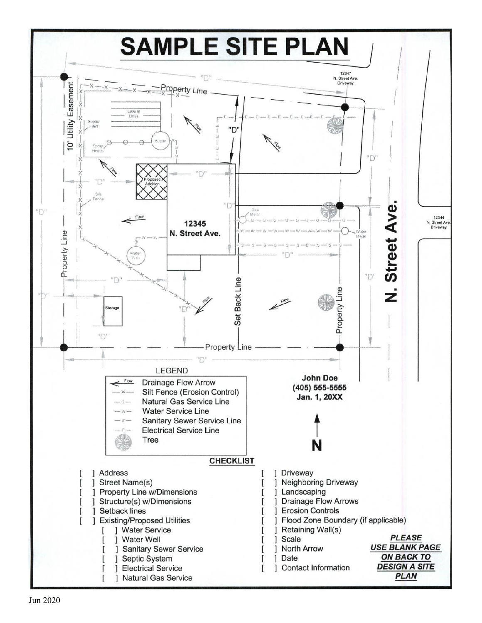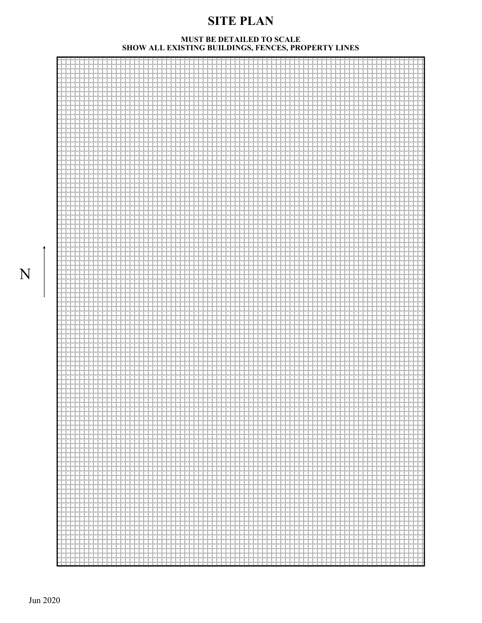# **SITE PLAN**

#### **MUST BE DETAILED TO SCALE SHOW ALL EXISTING BUILDINGS, FENCES, PROPERTY LINES**

| tri T | t tin | tri tr<br>trinin<br>. | mente dell'<br>ininini<br>متوسط ومتوسط     |
|-------|-------|-----------------------|--------------------------------------------|
|       |       |                       | ستستبد<br>44<br>4444                       |
|       |       |                       | ininini<br>tinini                          |
|       |       |                       | 00<br>inininini                            |
|       |       |                       | idad<br>1444                               |
|       |       |                       | inininini<br>ininini                       |
|       |       |                       | titul<br>++++<br>inininin                  |
|       |       |                       | idad<br>44                                 |
|       |       |                       | trininini<br>ta ma<br><b>Service State</b> |
|       |       |                       | 144<br>4444                                |
|       |       |                       | ininini                                    |
|       |       |                       | nin in                                     |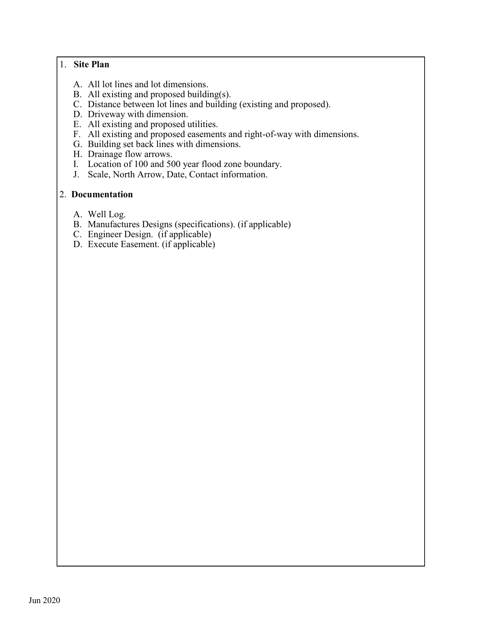### 1. **Site Plan**

- A. All lot lines and lot dimensions.
- B. All existing and proposed building(s).
- C. Distance between lot lines and building (existing and proposed).
- D. Driveway with dimension.
- E. All existing and proposed utilities.
- F. All existing and proposed easements and right-of-way with dimensions.
- G. Building set back lines with dimensions.
- H. Drainage flow arrows.
- I. Location of 100 and 500 year flood zone boundary.
- J. Scale, North Arrow, Date, Contact information.

## 2. **Documentation**

- A. Well Log.
- B. Manufactures Designs (specifications). (if applicable)
- C. Engineer Design. (if applicable)
- D. Execute Easement. (if applicable)